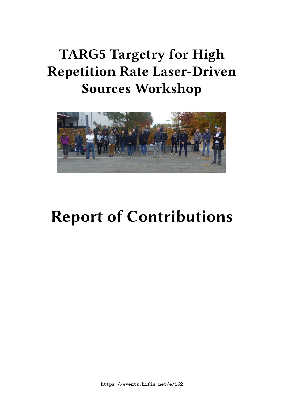# **TARG5 Targetry for High Repetition Rate Laser-Driven Sources Workshop**



# **Report of Contributions**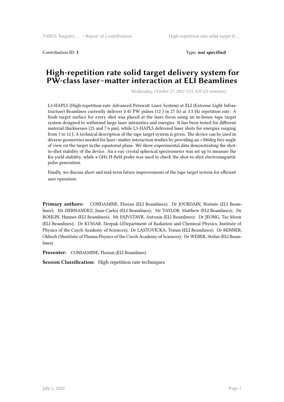Contribution ID: **1** Type: **not specified**

#### **High-repetition rate solid target delivery system for PW-class laser–matter interaction at ELI Beamlines**

*Wednesday, October 27, 2021 9:25 AM (25 minutes)*

L3-HAPLS (High-repetition-rate Advanced Petawatt Laser System) at ELI (Extreme Light Infrastructure) Beamlines currently delivers 0.45 PW pulses (12 J in 27 fs) at 3.3 Hz repetition rate. A fresh target surface for every shot was placed at the laser focus using an in-house tape target system designed to withstand large laser intensities and energies. It has been tested for different material thicknesses (25 and 7.6 μm), while L3-HAPLS delivered laser shots for energies ranging from 1 to 12 J. A technical description of the tape target system is given. The device can be used in diverse geometries needed for laser–matter interaction studies by providing an ≈300deg free angle of view on the target in the equatorial plane. We show experimental data demonstrating the shotto-shot stability of the device. An x-ray crystal spherical spectrometer was set up to measure the Kα yield stability, while a GHz H-field probe was used to check the shot-to-shot electromagnetic pulse generation.

Finally, we discuss short and mid-term future improvements of the tape target system for efficient user operation.

**Primary authors:** CONDAMINE, Florian (ELI Beamlines); Dr JOURDAIN, Noémie (ELI Beamlines); Mr HERNANDEZ, Juan-Carlos (ELI Beamlines); Mr TAYLOR, Matthew (ELI Beamlines); Dr BOHLIN, Hannes (ELI Beamlines); Mr FAJVSTAVR, Antonin (ELI Beamlines); Dr JEONG, Tae Moon (ELI Beamlines); Dr KUMAR, Deepak (2Department of Radiation and Chemical Physics, Institute of Physics of the Czech Academy of Sciences); Dr LASTOVICKA, Tomas (ELI Beamlines); Dr RENNER, Oldrich (3Institute of Plasma Physics of the Czech Academy of Sciences); Dr WEBER, Stefan (ELI Beamlines)

**Presenter:** CONDAMINE, Florian (ELI Beamlines)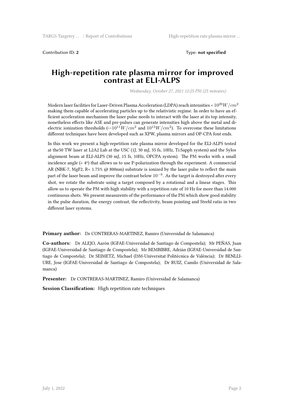Contribution ID: **2** Type: **not specified**

#### **High-repetition rate plasma mirror for improved contrast at ELI-ALPS**

*Wednesday, October 27, 2021 12:25 PM (25 minutes)*

Modern laser facilities for Laser-Driven Plasma Acceleration (LDPA) reach intensities < 1020*W*/*cm*<sup>2</sup> making them capable of accelerating particles up to the relativistic regime. In order to have an efficient acceleration mechanism the laser pulse needs to interact with the laser at its top intensity, nonetheless effects like ASE and pre-pulses can generate intensities high above the metal and dielectric ionization thresholds  $(\sim 10^{11} W/cm^2$  and  $10^{13} W/cm^2$ ). To overcome these limitations different techniques have been developed such as XPW, plasma mirrors and OP-CPA font ends.

In this work we present a high-repetition rate plasma mirror developed for the ELI-ALPS tested at the50 TW laser at L2A2 Lab at the USC (1J, 30 mJ, 35 fs, 10Hz, Ti:Sapph system) and the Sylos alignment beam at ELI-ALPS (30 mJ, 15 fs, 10Hz, OPCPA system). The PM works with a small incidence angle  $\langle \langle 4^{\circ} \rangle$  that allows us to use P-polarization through the experiment. A commercial AR (NBK-7, MgF2, R< 1.75% @ 800nm) substrate is ionized by the laser pulse to reflect the main part of the laser beam and improve the contrast below 10*−*<sup>9</sup> . As the target is destroyed after every shot, we rotate the substrate using a target composed by a rotational and a linear stages. This allow us to operate the PM with high stability with a repetition rate of 10 Hz for more than 14.000 continuous shots. We present measurents of the performance of the PM which show good stability in the pulse duration, the energy contrast, the reflectivity, beam pointing and Strehl ratio in two different laser systems.

**Primary author:** Dr CONTRERAS-MARTINEZ, Ramiro (Universidad de Salamanca)

**Co-authors:** Dr ALEJO, Aarón (IGFAE-Universidad de Santiago de Compostela); Mr PEÑAS, Juan (IGFAE-Universidad de Santiago de Compostela); Mr BEMBIBRE, Adrián (IGFAE-Universidad de Santiago de Compostela); Dr SEIMETZ, Michael (I3M-Universitat Politècnica de València); Dr BENLLI-URE, Jose (IGFAE-Universidad de Santiago de Compostela); Dr RUIZ, Camilo (Universidad de Salamanca)

**Presenter:** Dr CONTRERAS-MARTINEZ, Ramiro (Universidad de Salamanca)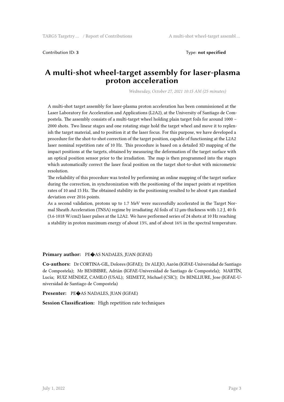Contribution ID: **3** Type: **not specified**

#### **A multi-shot wheel-target assembly for laser-plasma proton acceleration**

*Wednesday, October 27, 2021 10:15 AM (25 minutes)*

A multi-shot target assembly for laser-plasma proton acceleration has been commissioned at the Laser Laboratory for Acceleration and Applications (L2A2), at the University of Santiago de Compostela. The assembly consists of a multi-target wheel holding plain target foils for around 1000 – 2000 shots. Two linear stages and one rotating stage hold the target wheel and move it to replenish the target material, and to position it at the laser focus. For this purpose, we have developed a procedure for the shot-to-shot correction of the target position, capable of functioning at the L2A2 laser nominal repetition rate of 10 Hz. This procedure is based on a detailed 3D mapping of the impact positions at the targets, obtained by measuring the deformation of the target surface with an optical position sensor prior to the irradiation. The map is then programmed into the stages which automatically correct the laser focal position on the target shot-to-shot with micrometric resolution.

The reliability of this procedure was tested by performing an online mapping of the target surface during the correction, in synchronization with the positioning of the impact points at repetition rates of 10 and 15 Hz. The obtained stability in the positioning resulted to be about 4 μm standard deviation over 2016 points.

As a second validation, protons up to 1.7 MeV were successfully accelerated in the Target Normal Sheath Acceleration (TNSA) regime by irradiating Al foils of 12 μm-thickness with 1.2 J, 40 fs (3.6·1018 W/cm2) laser pulses at the L2A2. We have performed series of 24 shots at 10 Hz reaching a stability in proton maximum energy of about 13%, and of about 16% in the spectral temperature.

#### **Primary author:** PE�AS NADALES, JUAN (IGFAE)

**Co-authors:** Dr CORTINA-GIL, Dolores (IGFAE); Dr ALEJO, Aarón (IGFAE-Universidad de Santiago de Compostela); Mr BEMBIBRE, Adrián (IGFAE-Universidad de Santiago de Compostela); MARTÍN, Lucía; RUIZ MÉNDEZ, CAMILO (USAL); SEIMETZ, Michael (CSIC); Dr BENLLIURE, Jose (IGFAE-Universidad de Santiago de Compostela)

**Presenter:** PE�AS NADALES, JUAN (IGFAE)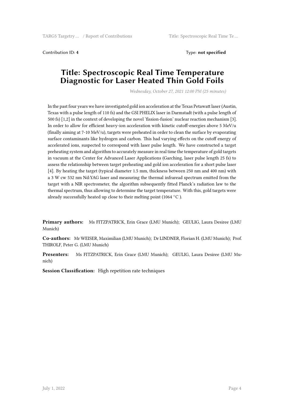Contribution ID: **4** Type: **not specified**

#### **Title: Spectroscopic Real Time Temperature Diagnostic for Laser Heated Thin Gold Foils**

*Wednesday, October 27, 2021 12:00 PM (25 minutes)*

In the past four years we have investigated gold ion acceleration at the Texas Petawatt laser (Austin, Texas with a pulse length of 110 fs) and the GSI PHELIX laser in Darmstadt (with a pulse length of 500 fs) [1,2] in the context of developing the novel 'fission-fusion' nuclear reaction mechanism [3]. In order to allow for efficient heavy-ion acceleration with kinetic cutoff-energies above 5 MeV/u (finally aiming at 7-10 MeV/u), targets were preheated in order to clean the surface by evaporating surface contaminants like hydrogen and carbon. This had varying effects on the cutoff energy of accelerated ions, suspected to correspond with laser pulse length. We have constructed a target preheating system and algorithm to accurately measure in real time the temperature of gold targets in vacuum at the Center for Advanced Laser Applications (Garching, laser pulse length 25 fs) to assess the relationship between target preheating and gold ion acceleration for a short pulse laser [4]. By heating the target (typical diameter 1.5 mm, thickness between 250 nm and 400 nm) with a 3 W cw 532 nm Nd:YAG laser and measuring the thermal infraread spectrum emitted from the target with a NIR spectrometer, the algorithm subsequently fitted Planck's radiation law to the thermal spectrum, thus allowing to determine the target temperature. With this, gold targets were already successfully heated up close to their melting point (1064 *◦*C ).

**Primary authors:** Ms FITZPATRICK, Erin Grace (LMU Munich); GEULIG, Laura Desiree (LMU Munich)

**Co-authors:** Mr WEISER, Maximilian (LMU Munich); Dr LINDNER, Florian H. (LMU Munich); Prof. THIROLF, Peter G. (LMU Munich)

**Presenters:** Ms FITZPATRICK, Erin Grace (LMU Munich); GEULIG, Laura Desiree (LMU Munich)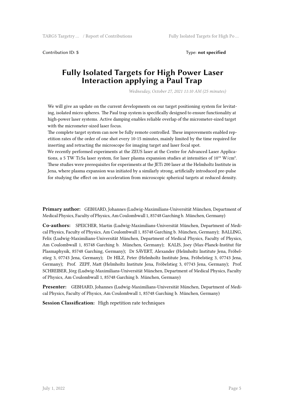Contribution ID: **5** Type: **not specified**

#### **Fully Isolated Targets for High Power Laser Interaction applying a Paul Trap**

*Wednesday, October 27, 2021 11:10 AM (25 minutes)*

We will give an update on the current developments on our target positioning system for levitating, isolated micro spheres. The Paul trap system is specifically designed to ensure functionality at high-power laser systems. Active damping enables reliable overlap of the micrometer-sized target with the micrometer-sized laser focus.

The complete target system can now be fully remote controlled. These improvements enabled repetition rates of the order of one shot every 10-15 minutes, mainly limited by the time required for inserting and retracting the microscope for imaging target and laser focal spot.

We recently performed experiments at the ZEUS laser at the Centre for Advanced Laser Applications, a 5 TW Ti:Sa laser system, for laser plasma expansion studies at intensities of  $10^{16}$  W/cm<sup>2</sup>. These studies were prerequisites for experiments at the JETi 200 laser at the Helmholtz Institute in Jena, where plasma expansion was initiated by a similarly strong, artificially introduced pre-pulse for studying the effect on ion acceleration from microscopic spherical targets at reduced density.

**Primary author:** GEBHARD, Johannes (Ludwig-Maximilians-Universität München, Department of Medical Physics, Faculty of Physics, Am Coulombwall 1, 85748 Garching b. München, Germany)

**Co-authors:** SPEICHER, Martin (Ludwig-Maximilians-Universität München, Department of Medical Physics, Faculty of Physics, Am Coulombwall 1, 85748 Garching b. München, Germany); BALLING, Felix (Ludwig-Maximilians-Universität München, Department of Medical Physics, Faculty of Physics, Am Coulombwall 1, 85748 Garching b. München, Germany); KALIS, Joey (Max-Planck-Institut für Plasmaphysik, 85748 Garching, Germany); Dr SÄVERT, Alexander (Helmholtz Institute Jena, Fröbelstieg 3, 07743 Jena, Germany); Dr HILZ, Peter (Helmholtz Institute Jena, Fröbelstieg 3, 07743 Jena, Germany); Prof. ZEPF, Matt (Helmholtz Institute Jena, Fröbelstieg 3, 07743 Jena, Germany); Prof. SCHREIBER, Jörg (Ludwig-Maximilians-Universität München, Department of Medical Physics, Faculty of Physics, Am Coulombwall 1, 85748 Garching b. München, Germany)

**Presenter:** GEBHARD, Johannes (Ludwig-Maximilians-Universität München, Department of Medical Physics, Faculty of Physics, Am Coulombwall 1, 85748 Garching b. München, Germany)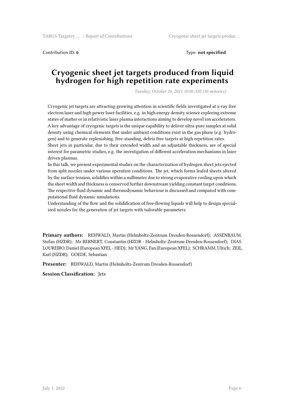Contribution ID: 6 **Type: not specified Type: not specified** 

#### **Cryogenic sheet jet targets produced from liquid hydrogen for high repetition rate experiments**

*Tuesday, October 26, 2021 10:00 AM (30 minutes)*

Cryogenic jet targets are attracting growing attention in scientific fields investigated at x-ray free electron laser and high power laser facilities, e.g. in high energy density science exploring extreme states of matter or in relativistic laser plasma interactions aiming to develop novel ion accelerators. A key advantage of cryogenic targets is the unique capability to deliver ultra-pure samples at solid density using chemical elements that under ambient conditions exist in the gas phase (e.g. hydrogen) and to generate replenishing, free-standing, debris free targets at high repetition rates.

Sheet jets in particular, due to their extended width and an adjustable thickness, are of special interest for parametric studies, e.g. the investigation of different acceleration mechanisms in laser driven plasmas.

In this talk, we present experimental studies on the characterization of hydrogen sheet jets ejected from split nozzles under various operation conditions. The jet, which forms leafed sheets altered by the surface tension, solidifies within a millimeter due to strong evaporative cooling upon which the sheet width and thickness is conserved further downstream yielding constant target conditions. The respective fluid dynamic and thermodynamic behaviour is discussed and compared with computational fluid dynamic simulations.

Understanding of the flow and the solidification of free-flowing liquids will help to design specialized nozzles for the generation of jet targets with tailorable parameters.

**Primary authors:** REHWALD, Martin (Helmholtz-Zentrum Dresden-Rossendorf); ASSENBAUM, Stefan (HZDR); Mr BERNERT, Constantin (HZDR - Helmholtz-Zentrum Dresden-Rossendorf); DIAS LOUREIRO, Daniel (European XFEL - HED); Mr YANG, Fan (European XFEL); SCHRAMM, Ulrich; ZEIL, Karl (HZDR); GOEDE, Sebastian

**Presenter:** REHWALD, Martin (Helmholtz-Zentrum Dresden-Rossendorf)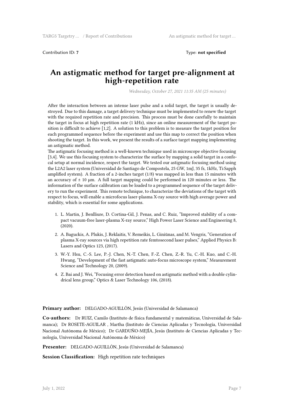Contribution ID: **7** Type: **not specified**

#### **An astigmatic method for target pre-alignment at high-repetition rate**

*Wednesday, October 27, 2021 11:35 AM (25 minutes)*

After the interaction between an intense laser pulse and a solid target, the target is usually destroyed. Due to this damage, a target delivery technique must be implemented to renew the target with the required repetition rate and precision. This process must be done carefully to maintain the target in focus at high repetition rate (1 kHz), since an online measurement of the target position is difficult to achieve [1,2]. A solution to this problem is to measure the target position for each programmed sequence before the experiment and use this map to correct the position when shooting the target. In this work, we present the results of a surface target mapping implementing an astigmatic method.

The astigmatic focusing method is a well-known technique used in microscope objective focusing [3,4]. We use this focusing system to characterize the surface by mapping a solid target in a confocal setup at normal incidence, respect the target. We tested our astigmatic focusing method using the L2A2 laser system (Universidad de Santiago de Compostela, 25 GW, 1mJ, 35 fs, 1kHz, Ti:Sapph amplified system). A fraction of a 2-inches target (1/8) was mapped in less than 15 minutes with an accuracy of  $\pm$  10  $\upmu$ m. A full target mapping could be performed in 120 minutes or less. The information of the surface calibration can be loaded to a programmed sequence of the target delivery to run the experiment. This remote technique, to characterize the deviations of the target with respect to focus, will enable a microfocus laser-plasma X-ray source with high average power and stability, which is essential for some applications.

- 1. L. Martin, J. Benlliure, D. Cortina-Gil, J. Penas, and C. Ruiz, "Improved stability of a compact vacuum-free laser-plasma X-ray source," High Power Laser Science and Engineering 8, (2020).
- 2. A. Baguckis, A. Plukis, J. Reklaitis, V. Remeikis, L. Giniūnas, and M. Vengris, "Generation of plasma X-ray sources via high repetition rate femtosecond laser pulses," Applied Physics B: Lasers and Optics 123, (2017).
- 3. W.-Y. Hsu, C.-S. Lee, P.-J. Chen, N.-T. Chen, F.-Z. Chen, Z.-R. Yu, C.-H. Kuo, and C.-H. Hwang, "Development of the fast astigmatic auto-focus microscope system," Measurement Science and Technology 20, (2009).
- 4. Z. Bai and J. Wei, "Focusing error detection based on astigmatic method with a double cylindrical lens group," Optics & Laser Technology 106, (2018).

#### **Primary author:** DELGADO-AGUILLÓN, Jesús (Universidad de Salamanca)

**Co-authors:** Dr RUIZ, Camilo (Instituto de física fundamental y matemáticas, Universidad de Salamanca); Dr ROSETE-AGUILAR , Martha (Instituto de Ciencias Aplicadas y Tecnología, Universidad Nacional Autónoma de México); Dr GARDUÑO-MEJÍA, Jesús (Instituto de Ciencias Aplicadas y Tecnología, Universidad Nacional Autónoma de México)

**Presenter:** DELGADO-AGUILLÓN, Jesús (Universidad de Salamanca)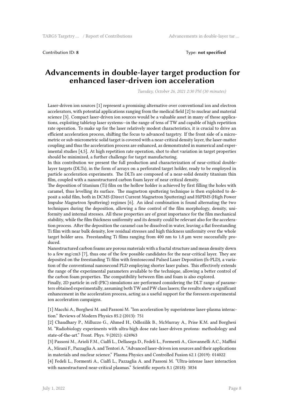Contribution ID: **8** Type: **not specified**

#### **Advancements in double-layer target production for enhanced laser-driven ion acceleration**

*Tuesday, October 26, 2021 2:30 PM (30 minutes)*

Laser-driven ion sources [1] represent a promising alternative over conventional ion and electron accelerators, with potential applications ranging from the medical field [2] to nuclear and material science [3]. Compact laser-driven ion sources would be a valuable asset in many of those applications, exploiting tabletop laser systems—in the range of tens of TW and capable of high repetition rate operation. To make up for the laser relatively modest characteristics, it is crucial to drive an efficient acceleration process, shifting the focus to advanced targetry. If the front side of a micrometric or sub-micrometric solid target is covered with a near-critical density layer, the laser-matter coupling and thus the acceleration process are enhanced, as demonstrated in numerical and experimental studies [4,5]. At high repetition rate operation, shot to shot variation in target properties should be minimized, a further challenge for target manufacturing.

In this contribution we present the full production and characterization of near-critical doublelayer targets (DLTs), in the form of arrays on a perforated target holder, ready to be employed in particle acceleration experiments. The DLTs are composed of a near-solid density titanium thin film, coupled with a nanostructured carbon foam layer of near critical density.

The deposition of titanium (Ti) film on the hollow holder is achieved by first filling the holes with caramel, thus levelling its surface. The magnetron sputtering technique is then exploited to deposit a solid film, both in DCMS (Direct Current Magnetron Sputtering) and HiPIMS (High Power Impulse Magnetron Sputtering) regimes [6]. An ideal combination is found alternating the two techniques during the deposition, allowing a fine control of the film morphology, density, uniformity and internal stresses. All these properties are of great importance for the film mechanical stability, while the film thickness uniformity and its density could be relevant also for the acceleration process. After the deposition the caramel can be dissolved in water, leaving a flat freestanding Ti film with near bulk density, low residual stresses and high thickness uniformity over the whole target holder area. Freestanding Ti films ranging from 400 nm to 1.8 μm were successfully produced.

Nanostructured carbon foams are porous materials with a fractal structure and mean density down to a few mg/cm3 [7], thus one of the few possible candidates for the near-critical layer. They are deposited on the freestanding Ti film with femtosecond Pulsed Laser Deposition (fs-PLD), a variation of the conventional nanosecond PLD employing shorter laser pulses. This effectively extends the range of the experimental parameters available to the technique, allowing a better control of the carbon foam properties. The compatibility between film and foam is also explored.

Finally, 2D particle in cell (PIC) simulations are performed considering the DLT range of parameters obtained experimentally, assuming both TW and PW class lasers; the results show a significant enhancement in the acceleration process, acting as a useful support for the foreseen experimental ion acceleration campaigns.

[1] Macchi A., Borghesi M. and Passoni M. "Ion acceleration by superintense laser-plasma interaction." Reviews of Modern Physics 85.2 (2013): 751

[2] Chaudhary P., Milluzzo G., Ahmed H., Odlozilik B., McMurray A., Prise K.M. and Borghesi M. "Radiobiology experiments with ultra-high dose rate laser-driven protons: methodology and state-of-the-art." Front. Phys. 9 (2021): 624963

[3] Passoni M., Arioli F.M., Cialfi L., Dellasega D., Fedeli L., Formenti A., Giovannelli A.C., Maffini A., Mirani F., Pazzaglia A. and Tentori A. "Advanced laser-driven ion sources and their applications in materials and nuclear science." Plasma Physics and Controlled Fusion 62.1 (2019): 014022

[4] Fedeli L., Formenti A., Cialfi L., Pazzaglia A. and Passoni M. "Ultra-intense laser interaction with nanostructured near-critical plasmas." Scientific reports 8.1 (2018): 3834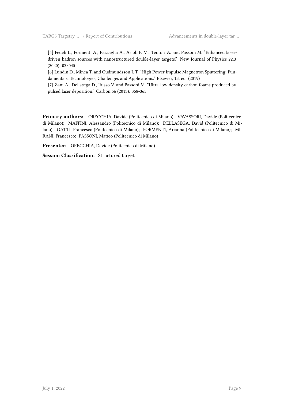[5] Fedeli L., Formenti A., Pazzaglia A., Arioli F. M., Tentori A. and Passoni M. "Enhanced laserdriven hadron sources with nanostructured double-layer targets." New Journal of Physics 22.3 (2020): 033045

[6] Lundin D., Minea T. and Gudmundsson J. T. "High Power Impulse Magnetron Sputtering: Fundamentals, Technologies, Challenges and Applications." Elsevier, 1st ed. (2019)

[7] Zani A., Dellasega D., Russo V. and Passoni M. "Ultra-low density carbon foams produced by pulsed laser deposition." Carbon 56 (2013): 358-365

**Primary authors:** ORECCHIA, Davide (Politecnico di Milano); VAVASSORI, Davide (Politecnico di Milano); MAFFINI, Alessandro (Politecnico di Milano); DELLASEGA, David (Politecnico di Milano); GATTI, Francesco (Politecnico di Milano); FORMENTI, Arianna (Politecnico di Milano); MI-RANI, Francesco; PASSONI, Matteo (Politecnico di Milano)

**Presenter:** ORECCHIA, Davide (Politecnico di Milano)

**Session Classification:** Structured targets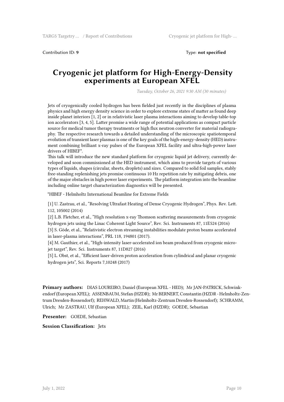Contribution ID: 9 Type: **not specified** 

#### **Cryogenic jet platform for High-Energy-Density experiments at European XFEL**

*Tuesday, October 26, 2021 9:30 AM (30 minutes)*

Jets of cryogenically cooled hydrogen has been fielded just recently in the disciplines of plasma physics and high energy density science in order to explore extreme states of matter as found deep inside planet interiors [1, 2] or in relativistic laser plasma interactions aiming to develop table-top ion accelerators [3, 4, 5]. Latter promise a wide range of potential applications as compact particle source for medical tumor therapy treatments or high flux neutron converter for material radiography. The respective research towards a detailed understanding of the microscopic spatiotemporal evolution of transient laser plasmas is one of the key goals of the high-energy-density (HED) instrument combining brilliant x-ray pulses of the European XFEL facility and ultra-high-power laser drivers of HIBEF\*.

This talk will introduce the new standard platform for cryogenic liquid jet delivery, currently developed and soon commissioned at the HED instrument, which aims to provide targets of various types of liquids, shapes (circular, sheets, droplets) and sizes. Compared to solid foil samples, stably free-standing replenishing jets promise continuous 10 Hz repetition rate by mitigating debris, one of the major obstacles in high power laser experiments. The platform integration into the beamline including online target characterization diagnostics will be presented.

\*HIBEF - Helmholtz International Beamline for Extreme Fields

[1] U. Zastrau, et al., "Resolving Ultrafast Heating of Dense Cryogenic Hydrogen", Phys. Rev. Lett. 112, 105002 (2014)

[2] L.B. Fletcher, et al., "High resolution x-ray Thomson scattering measurements from cryogenic hydrogen jets using the Linac Coherent Light Source", Rev. Sci. Instruments 87, 11E524 (2016)

[3] S. Göde, et al., "Relativistic electron streaming instabilities modulate proton beams accelerated in laser-plasma interactions", PRL 118, 194801 (2017).

[4] M. Gauthier, et al., "High-intensity laser-accelerated ion beam produced from cryogenic microjet target", Rev. Sci. Instruments 87, 11D827 (2016)

[5] L. Obst, et al., "Efficient laser-driven proton acceleration from cylindrical and planar cryogenic hydrogen jets", Sci. Reports 7,10248 (2017)

**Primary authors:** DIAS LOUREIRO, Daniel (European XFEL - HED); Mr JAN-PATRICK, Schwinkendorf (European XFEL); ASSENBAUM, Stefan (HZDR); Mr BERNERT, Constantin (HZDR - Helmholtz-Zentrum Dresden-Rossendorf); REHWALD, Martin (Helmholtz-Zentrum Dresden-Rossendorf); SCHRAMM, Ulrich; Mr ZASTRAU, Ulf (European XFEL); ZEIL, Karl (HZDR); GOEDE, Sebastian

**Presenter:** GOEDE, Sebastian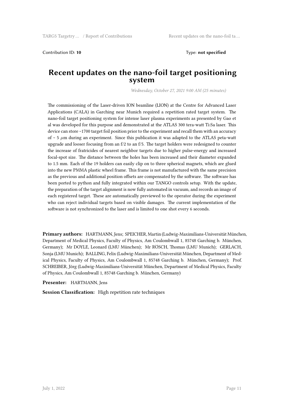Contribution ID: 10 **Type:** not specified

#### **Recent updates on the nano-foil target positioning system**

*Wednesday, October 27, 2021 9:00 AM (25 minutes)*

The commissioning of the Laser-driven ION beamline (LION) at the Centre for Advanced Laser Applications (CALA) in Garching near Munich required a repetition rated target system. The nano-foil target positioning system for intense laser plasma experiments as presented by Gao et al was developed for this purpose and demonstrated at the ATLAS 300 tera-watt Ti:Sa laser. This device can store ~1700 target foil position prior to the experiment and recall them with an accuracy of ~ 5 *µ*m during an experiment. Since this publication it was adapted to the ATLAS peta-watt upgrade and looser focusing from an  $f/2$  to an  $f/5$ . The target holders were redesigned to counter the increase of fratricides of nearest neighbor targets due to higher pulse-energy and increased focal-spot size. The distance between the holes has been increased and their diameter expanded to 1.5 mm. Each of the 19 holders can easily clip on to three spherical magnets, which are glued into the new PMMA plastic wheel frame. This frame is not manufactured with the same precision as the previous and additional position offsets are compensated by the software. The software has been ported to python and fully integrated within our TANGO controls setup. With the update, the preparation of the target alignment is now fully automated in vacuum, and records an image of each registered target. These are automatically previewed to the operator during the experiment who can reject individual targets based on visible damages. The current implementation of the software is not synchronized to the laser and is limited to one shot every 6 seconds.

**Primary authors:** HARTMANN, Jens; SPEICHER, Martin (Ludwig-Maximilians-Universität München, Department of Medical Physics, Faculty of Physics, Am Coulombwall 1, 85748 Garching b. München, Germany); Mr DOYLE, Leonard (LMU München); Mr RÖSCH, Thomas (LMU Munich); GERLACH, Sonja (LMU Munich); BALLING, Felix (Ludwig-Maximilians-Universität München, Department of Medical Physics, Faculty of Physics, Am Coulombwall 1, 85748 Garching b. München, Germany); Prof. SCHREIBER, Jörg (Ludwig-Maximilians-Universität München, Department of Medical Physics, Faculty of Physics, Am Coulombwall 1, 85748 Garching b. München, Germany)

**Presenter:** HARTMANN, Jens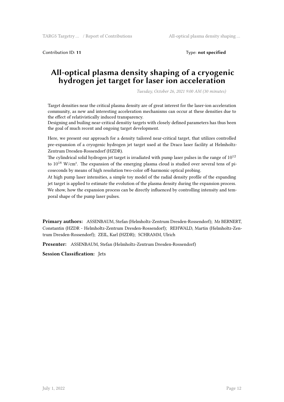Contribution ID: **11** Type: **not specified**

#### **All-optical plasma density shaping of a cryogenic hydrogen jet target for laser ion acceleration**

*Tuesday, October 26, 2021 9:00 AM (30 minutes)*

Target densities near the critical plasma density are of great interest for the laser-ion acceleration community, as new and interesting acceleration mechanisms can occur at these densities due to the effect of relativistically induced transparency.

Designing and builing near-critical densitiy targets with closely defined parameters has thus been the goal of much recent and ongoing target development.

Here, we present our approach for a density tailored near-critical target, that utilizes controlled pre-expansion of a cryogenic hydrogen jet target used at the Draco laser facility at Helmholtz-Zentrum Dresden-Rossendorf (HZDR).

The cylindrical solid hydrogen jet target is irradiated with pump laser pulses in the range of  $10^{12}$ to  $10^{18}$  W/cm<sup>2</sup>. The expansion of the emerging plasma cloud is studied over several tens of picoseconds by means of high resolution two-color off-harmonic optical probing.

At high pump laser intensities, a simple toy model of the radial density profile of the expanding jet target is applied to estimate the evolution of the plasma density during the expansion process. We show, how the expansion process can be directly influenced by controlling intensity and temporal shape of the pump laser pulses.

**Primary authors:** ASSENBAUM, Stefan (Helmholtz-Zentrum Dresden-Rossendorf); Mr BERNERT, Constantin (HZDR - Helmholtz-Zentrum Dresden-Rossendorf); REHWALD, Martin (Helmholtz-Zentrum Dresden-Rossendorf); ZEIL, Karl (HZDR); SCHRAMM, Ulrich

**Presenter:** ASSENBAUM, Stefan (Helmholtz-Zentrum Dresden-Rossendorf)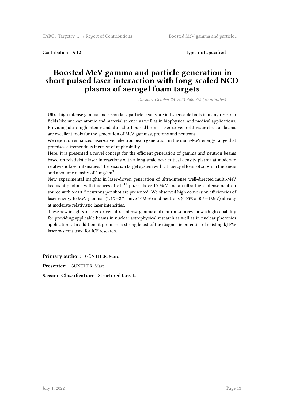Contribution ID: 12 Type: **not specified** 

#### **Boosted MeV-gamma and particle generation in short pulsed laser interaction with long-scaled NCD plasma of aerogel foam targets**

*Tuesday, October 26, 2021 4:00 PM (30 minutes)*

Ultra-high intense gamma and secondary particle beams are indispensable tools in many research fields like nuclear, atomic and material science as well as in biophysical and medical applications. Providing ultra-high intense and ultra-short pulsed beams, laser-driven relativistic electron beams are excellent tools for the generation of MeV gammas, protons and neutrons.

We report on enhanced laser-driven electron beam generation in the multi-MeV energy range that promises a tremendous increase of applicability.

Here, it is presented a novel concept for the efficient generation of gamma and neutron beams based on relativistic laser interactions with a long-scale near critical density plasma at moderate relativistic laser intensities. The basis is a target system with CH aerogel foam of sub-mm thickness and a volume density of 2 mg/cm<sup>3</sup>.

New experimental insights in laser-driven generation of ultra-intense well-directed multi-MeV beams of photons with fluences of  $>10^{12}$  ph/sr above 10 MeV and an ultra-high intense neutron source with  $6\times10^{10}$  neutrons per shot are presented. We observed high conversion efficiencies of laser energy to MeV-gammas (1.4%—2% above 10MeV) and neutrons (0.05% at 0.5—1MeV) already at moderate relativistic laser intensities.

These new insights of laser-driven ultra-intense gamma and neutron sources show a high capability for providing applicable beams in nuclear astrophysical research as well as in nuclear photonics applications. In addition, it promises a strong boost of the diagnostic potential of existing kJ PW laser systems used for ICF research.

**Primary author:** GÜNTHER, Marc

**Presenter:** GÜNTHER, Marc

**Session Classification:** Structured targets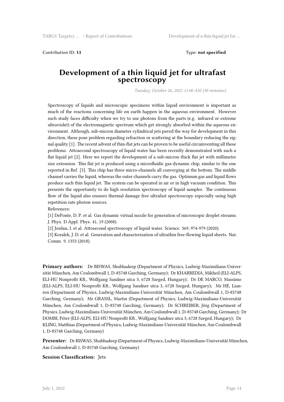Contribution ID: **13** Type: **not specified**

#### **Development of a thin liquid jet for ultrafast spectroscopy**

*Tuesday, October 26, 2021 11:00 AM (30 minutes)*

Spectroscopy of liquids and microscopic specimens within liquid environment is important as much of the reactions concerning life on earth happen in the aqueous environment. However such study faces difficulty when we try to use photons from the parts (e.g. infrared or extreme ultraviolet) of the electromagnetic spectrum which get strongly absorbed within the aqueous environment. Although, sub-micron diameter cylindrical jets paved the way for development in this direction, these pose problem regarding refraction or scattering at the boundary reducing the signal quality [1]. The recent advent of thin-flat jets can be proven to be useful circumventing all these problems. Attosecond spectroscopy of liquid water has been recently demonstrated with such a flat liquid jet [2]. Here we report the development of a sub-micron thick flat jet with millimetre size extension. This flat jet is produced using a microfluidic gas-dynamic chip, similar to the one reported in Ref. [3]. This chip has three micro-channels all converging at the bottom. The middle channel carries the liquid, whereas the outer channels carry the gas. Optimum gas and liquid flows produce such thin liquid jet. The system can be operated in air or in high vacuum condition. This presents the opportunity to do high resolution spectroscopy of liquid samples. The continuous flow of the liquid also ensures thermal damage free ultrafast spectroscopy especially using high repetition rate photon sources.

References:

[1] DePonte, D. P. et al. Gas dynamic virtual nozzle for generation of microscopic droplet streams. J. Phys. D Appl. Phys. 41, 19 (2008).

[2] Jordan, I. et al. Attosecond spectroscopy of liquid water. Science. 369, 974-979 (2020).

[3] Koralek, J. D. et al. Generation and characterization of ultrathin free-flowing liquid sheets. Nat. Comm. 9, 1353 (2018).

**Primary authors:** Dr BISWAS, Shubhadeep (Department of Physics, Ludwig-Maximilians-Universität München, Am Coulombwall 1, D-85748 Garching, Germany); Dr KHARBEDIA, Mikheil (ELI-ALPS, ELI-HU Nonprofit Kft., Wolfgang Sandner utca 3, 6728 Szeged, Hungary); Dr DE MARCO, Massimo (ELI-ALPS, ELI-HU Nonprofit Kft., Wolfgang Sandner utca 3, 6728 Szeged, Hungary); Mr HE, Lianren (Department of Physics, Ludwig-Maximilians-Universität München, Am Coulombwall 1, D-85748 Garching, Germany); Mr GRASSL, Martin (Department of Physics, Ludwig-Maximilians-Universität München, Am Coulombwall 1, D-85748 Garching, Germany); Dr SCHREIBER, Jörg (Department of Physics, Ludwig-Maximilians-Universität München, Am Coulombwall 1, D-85748 Garching, Germany); Dr DOMBI, Péter (ELI-ALPS, ELI-HU Nonprofit Kft., Wolfgang Sandner utca 3, 6728 Szeged, Hungary); Dr KLING, Matthias (Department of Physics, Ludwig-Maximilians-Universität München, Am Coulombwall 1, D-85748 Garching, Germany)

**Presenter:** Dr BISWAS, Shubhadeep (Department of Physics, Ludwig-Maximilians-Universität München, Am Coulombwall 1, D-85748 Garching, Germany)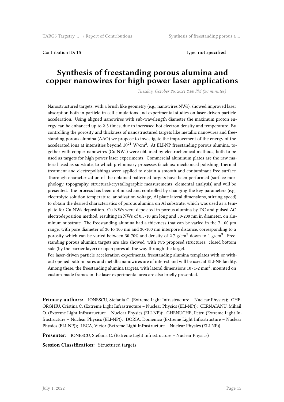Contribution ID: **15** Type: **not specified**

#### **Synthesis of freestanding porous alumina and copper nanowires for high power laser applications**

*Tuesday, October 26, 2021 2:00 PM (30 minutes)*

Nanostructured targets, with a brush like geometry (e.g., nanowires NWs), showed improved laser absorption both in particle-in-cell simulations and experimental studies on laser-driven particle acceleration. Using aligned nanowires with sub-wavelength diameter the maximum proton energy can be enhanced up to 2-3 times, due to increased hot electron density and temperature. By controlling the porosity and thickness of nanostructured targets like metallic nanowires and freestanding porous alumina (AAO) we propose to investigate the improvement of the energy of the accelerated ions at intensities beyond  $10^{21}$  W/cm<sup>2</sup>. At ELI-NP freestanding porous alumina, together with copper nanowires (Cu NWs) were obtained by electrochemical methods, both to be used as targets for high power laser experiments. Commercial aluminum plates are the raw material used as substrate, to which preliminary processes (such as: mechanical polishing, thermal treatment and electropolishing) were applied to obtain a smooth and contaminant free surface. Thorough characterization of the obtained patterned targets have been performed (surface morphology, topography, structural/crystallographic measurements, elemental analysis) and will be presented. The process has been optimized and controlled by changing the key parameters (e.g., electrolyte solution temperature, anodization voltage, Al plate lateral dimensions, stirring speed) to obtain the desired characteristics of porous alumina on Al substrate, which was used as a template for Cu NWs deposition. Cu NWs were deposited in porous alumina by DC and pulsed AC electrodeposition method, resulting in NWs of 0.5-10 μm long and 50-200 nm in diameter, on aluminum substrate. The freestanding alumina had a thickness that can be varied in the 7-100 μm range, with pore diameter of 30 to 100 nm and 30-100 nm interpore distance, corresponding to a porosity which can be varied between 30-70% and density of 2.7  $\rm g/cm^3$  down to 1  $\rm g/cm^3$ . Freestanding porous alumina targets are also showed, with two proposed structures: closed bottom side (by the barrier layer) or open pores all the way through the target.

For laser-driven particle acceleration experiments, freestanding alumina templates with or without opened bottom pores and metallic nanowires are of interest and will be used at ELI-NP facility. Among these, the freestanding alumina targets, with lateral dimensions  $10\times1$ -2 mm<sup>2</sup>, mounted on custom-made frames in the laser experimental area are also briefly presented.

**Primary authors:** IONESCU, Stefania C. (Extreme Light Infrastructure – Nuclear Physics); GHE-ORGHIU, Cristina C. (Extreme Light Infrastructure – Nuclear Physics (ELI-NP)); CERNAIANU, Mihail O. (Extreme Light Infrastructure – Nuclear Physics (ELI-NP)); GHENUCHE, Petru (Extreme Light Infrastructure – Nuclear Physics (ELI-NP)); DORIA, Domenico (Extreme Light Infrastructure – Nuclear Physics (ELI-NP)); LECA, Victor (Extreme Light Infrastructure – Nuclear Physics (ELI-NP))

**Presenter:** IONESCU, Stefania C. (Extreme Light Infrastructure – Nuclear Physics)

**Session Classification:** Structured targets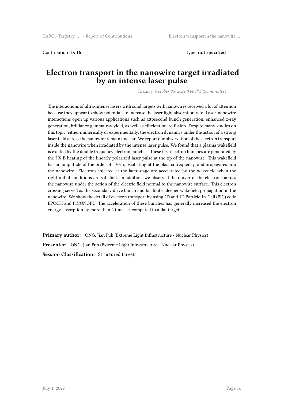Contribution ID: 16 Type: **not specified** 

#### **Electron transport in the nanowire target irradiated by an intense laser pulse**

*Tuesday, October 26, 2021 3:00 PM (30 minutes)*

The interactions of ultra-intense lasers with solid targets with nanowires received a lot of attention because they appear to show potentials to increase the laser light absorption rate. Laser-nanowire interactions open up various applications such as attosecond bunch generation, enhanced x-ray generation, brilliance gamma-ray yield, as well as efficient micro fusion. Despite many studies on this topic, either numerically or experimentally, the electron dynamics under the action of a strong laser field across the nanowire remain unclear. We report our observation of the electron transport inside the nanowire when irradiated by the intense laser pulse. We found that a plasma wakefield is excited by the double frequency electron bunches. These fast electron bunches are generated by the J X B heating of the linearly polarized laser pulse at the tip of the nanowire. This wakefield has an amplitude of the order of TV/m, oscillating at the plasma frequency, and propagates into the nanowire. Electrons injected at the later stage are accelerated by the wakefield when the right initial conditions are satisfied. In addition, we observed the quiver of the electrons across the nanowire under the action of the electric field normal to the nanowire surface. This electron crossing served as the secondary drive bunch and facilitates deeper wakefield propagation in the nanowire. We show the detail of electron transport by using 2D and 3D Particle-In-Cell (PIC) code EPOCH and PICONGPU. The acceleration of these bunches has generally increased the electron energy absorption by more than 2 times as compared to a flat target.

**Primary author:** ONG, Jian Fuh (Extreme Light Infrastructure - Nuclear Physics) **Presenter:** ONG, Jian Fuh (Extreme Light Infrastructure - Nuclear Physics) **Session Classification:** Structured targets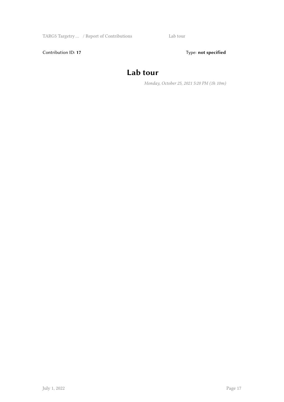Contribution ID: 17 Type: **not specified** 

# **Lab tour**

*Monday, October 25, 2021 5:20 PM (1h 10m)*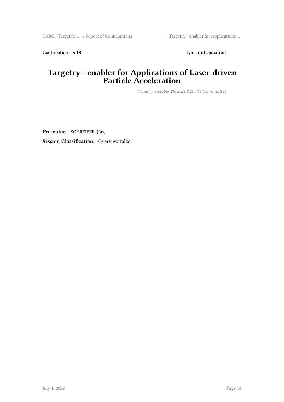Contribution ID: 18 Type: **not specified** 

### **Targetry - enabler for Applications of Laser-driven Particle Acceleration**

*Monday, October 25, 2021 2:20 PM (30 minutes)*

**Presenter:** SCHREIBER, Jörg **Session Classification:** Overview talks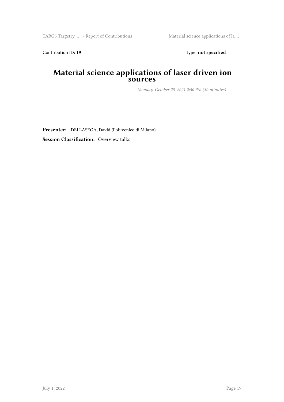Contribution ID: 19 Type: **not specified** 

#### **Material science applications of laser driven ion sources**

*Monday, October 25, 2021 2:50 PM (30 minutes)*

**Presenter:** DELLASEGA, David (Politecnico di Milano)

**Session Classification:** Overview talks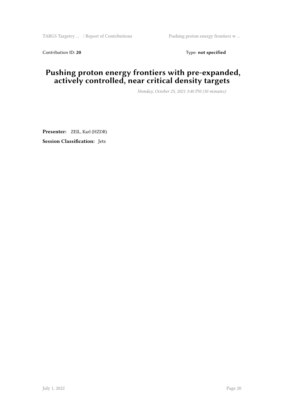Contribution ID: 20 Type: **not specified** 

### **Pushing proton energy frontiers with pre-expanded, actively controlled, near critical density targets**

*Monday, October 25, 2021 3:40 PM (30 minutes)*

**Presenter:** ZEIL, Karl (HZDR) **Session Classification:** Jets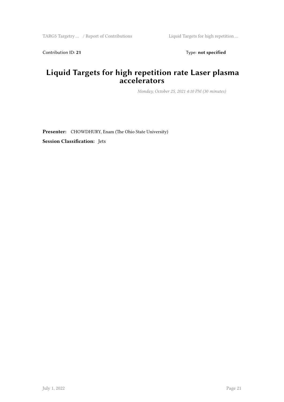Contribution ID: 21 Type: **not specified** 

## **Liquid Targets for high repetition rate Laser plasma accelerators**

*Monday, October 25, 2021 4:10 PM (30 minutes)*

**Presenter:** CHOWDHURY, Enam (The Ohio State University) **Session Classification:** Jets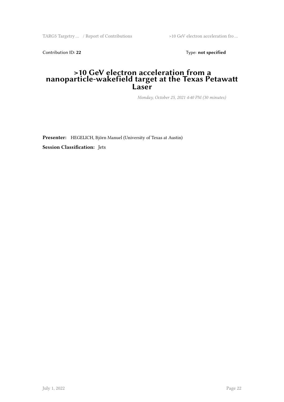TARG5 Targetry ... / Report of Contributions >10 GeV electron acceleration fro ...

Contribution ID: 22 Type: **not specified** 

#### **>10 GeV electron acceleration from a nanoparticle-wakefield target at the Texas Petawatt Laser**

*Monday, October 25, 2021 4:40 PM (30 minutes)*

**Presenter:** HEGELICH, Björn Manuel (University of Texas at Austin)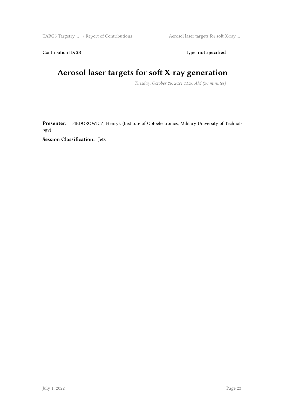Contribution ID: 23 Type: **not specified** 

# **Aerosol laser targets for soft X-ray generation**

*Tuesday, October 26, 2021 11:30 AM (30 minutes)*

**Presenter:** FIEDOROWICZ, Henryk (Institute of Optoelectronics, Military University of Technology)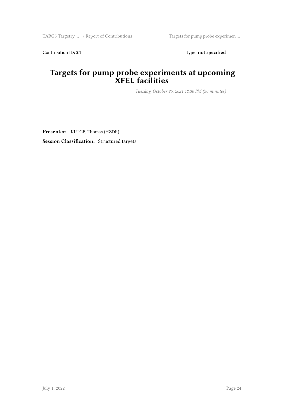Contribution ID: 24 Type: **not specified** 

#### **Targets for pump probe experiments at upcoming XFEL facilities**

*Tuesday, October 26, 2021 12:30 PM (30 minutes)*

**Presenter:** KLUGE, Thomas (HZDR) **Session Classification:** Structured targets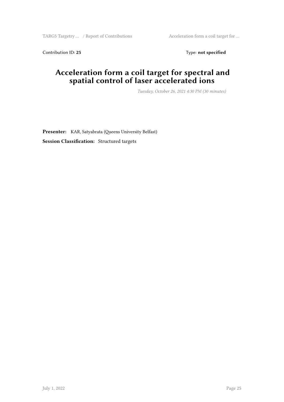Contribution ID: 25 Type: **not specified** 

### **Acceleration form a coil target for spectral and spatial control of laser accelerated ions**

*Tuesday, October 26, 2021 4:30 PM (30 minutes)*

**Presenter:** KAR, Satyabrata (Queens University Belfast) **Session Classification:** Structured targets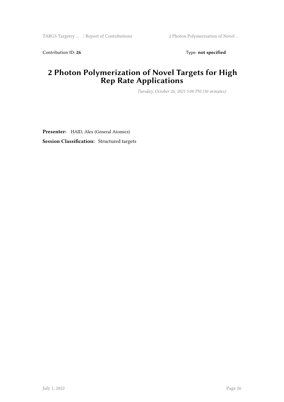Contribution ID: 26 Type: **not specified** 

## **2 Photon Polymerization of Novel Targets for High Rep Rate Applications**

*Tuesday, October 26, 2021 5:00 PM (30 minutes)*

**Presenter:** HAID, Alex (General Atomics) **Session Classification:** Structured targets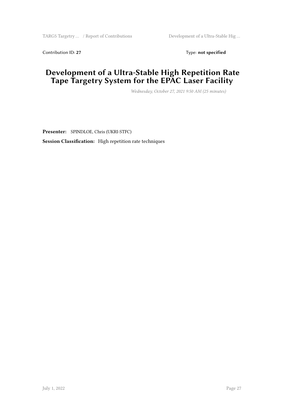Contribution ID: 27 Type: **not specified** 

## **Development of a Ultra-Stable High Repetition Rate Tape Targetry System for the EPAC Laser Facility**

*Wednesday, October 27, 2021 9:50 AM (25 minutes)*

**Presenter:** SPINDLOE, Chris (UKRI-STFC) **Session Classification:** High repetition rate techniques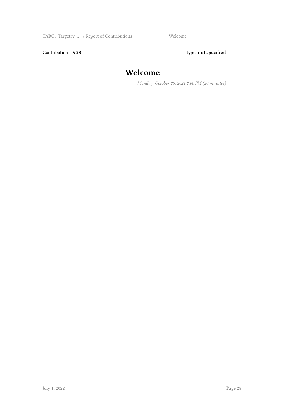Contribution ID: 28 Type: **not specified** 

## **Welcome**

*Monday, October 25, 2021 2:00 PM (20 minutes)*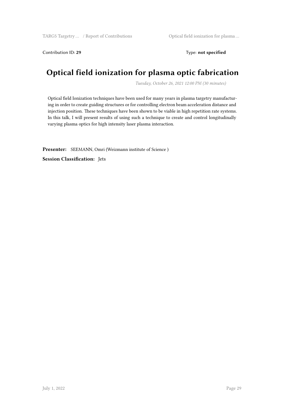Contribution ID: 29 Type: **not specified** 

# **Optical field ionization for plasma optic fabrication**

*Tuesday, October 26, 2021 12:00 PM (30 minutes)*

Optical field Ionization techniques have been used for many years in plasma targetry manufacturing in order to create guiding structures or for controlling electron beam acceleration distance and injection position. These techniques have been shown to be viable in high repetition rate systems. In this talk, I will present results of using such a technique to create and control longitudinally varying plasma optics for high intensity laser plasma interaction.

**Presenter:** SEEMANN, Omri (Weizmann institute of Science )